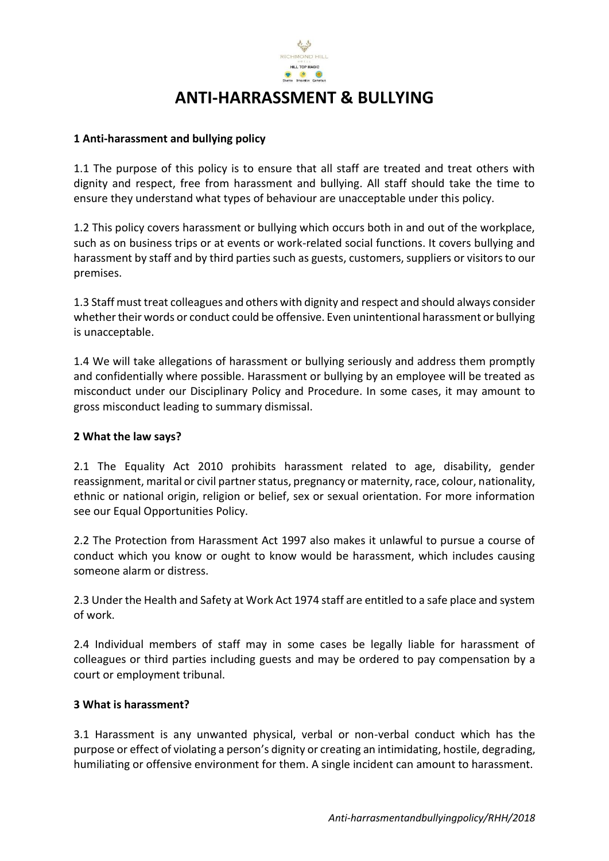

# **ANTI-HARRASSMENT & BULLYING**

### **1 Anti-harassment and bullying policy**

1.1 The purpose of this policy is to ensure that all staff are treated and treat others with dignity and respect, free from harassment and bullying. All staff should take the time to ensure they understand what types of behaviour are unacceptable under this policy.

1.2 This policy covers harassment or bullying which occurs both in and out of the workplace, such as on business trips or at events or work-related social functions. It covers bullying and harassment by staff and by third parties such as guests, customers, suppliers or visitors to our premises.

1.3 Staff must treat colleagues and others with dignity and respect and should always consider whether their words or conduct could be offensive. Even unintentional harassment or bullying is unacceptable.

1.4 We will take allegations of harassment or bullying seriously and address them promptly and confidentially where possible. Harassment or bullying by an employee will be treated as misconduct under our Disciplinary Policy and Procedure. In some cases, it may amount to gross misconduct leading to summary dismissal.

### **2 What the law says?**

2.1 The Equality Act 2010 prohibits harassment related to age, disability, gender reassignment, marital or civil partner status, pregnancy or maternity, race, colour, nationality, ethnic or national origin, religion or belief, sex or sexual orientation. For more information see our Equal Opportunities Policy.

2.2 The Protection from Harassment Act 1997 also makes it unlawful to pursue a course of conduct which you know or ought to know would be harassment, which includes causing someone alarm or distress.

2.3 Under the Health and Safety at Work Act 1974 staff are entitled to a safe place and system of work.

2.4 Individual members of staff may in some cases be legally liable for harassment of colleagues or third parties including guests and may be ordered to pay compensation by a court or employment tribunal.

#### **3 What is harassment?**

3.1 Harassment is any unwanted physical, verbal or non-verbal conduct which has the purpose or effect of violating a person's dignity or creating an intimidating, hostile, degrading, humiliating or offensive environment for them. A single incident can amount to harassment.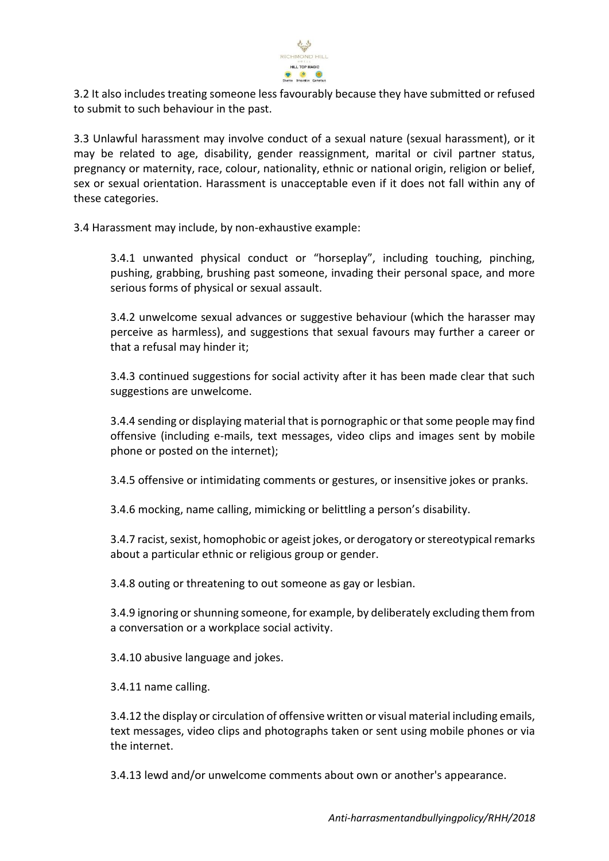

3.2 It also includes treating someone less favourably because they have submitted or refused to submit to such behaviour in the past.

3.3 Unlawful harassment may involve conduct of a sexual nature (sexual harassment), or it may be related to age, disability, gender reassignment, marital or civil partner status, pregnancy or maternity, race, colour, nationality, ethnic or national origin, religion or belief, sex or sexual orientation. Harassment is unacceptable even if it does not fall within any of these categories.

3.4 Harassment may include, by non-exhaustive example:

3.4.1 unwanted physical conduct or "horseplay", including touching, pinching, pushing, grabbing, brushing past someone, invading their personal space, and more serious forms of physical or sexual assault.

3.4.2 unwelcome sexual advances or suggestive behaviour (which the harasser may perceive as harmless), and suggestions that sexual favours may further a career or that a refusal may hinder it;

3.4.3 continued suggestions for social activity after it has been made clear that such suggestions are unwelcome.

3.4.4 sending or displaying material that is pornographic or that some people may find offensive (including e-mails, text messages, video clips and images sent by mobile phone or posted on the internet);

3.4.5 offensive or intimidating comments or gestures, or insensitive jokes or pranks.

3.4.6 mocking, name calling, mimicking or belittling a person's disability.

3.4.7 racist, sexist, homophobic or ageist jokes, or derogatory or stereotypical remarks about a particular ethnic or religious group or gender.

3.4.8 outing or threatening to out someone as gay or lesbian.

3.4.9 ignoring or shunning someone, for example, by deliberately excluding them from a conversation or a workplace social activity.

3.4.10 abusive language and jokes.

3.4.11 name calling.

3.4.12 the display or circulation of offensive written or visual material including emails, text messages, video clips and photographs taken or sent using mobile phones or via the internet.

3.4.13 lewd and/or unwelcome comments about own or another's appearance.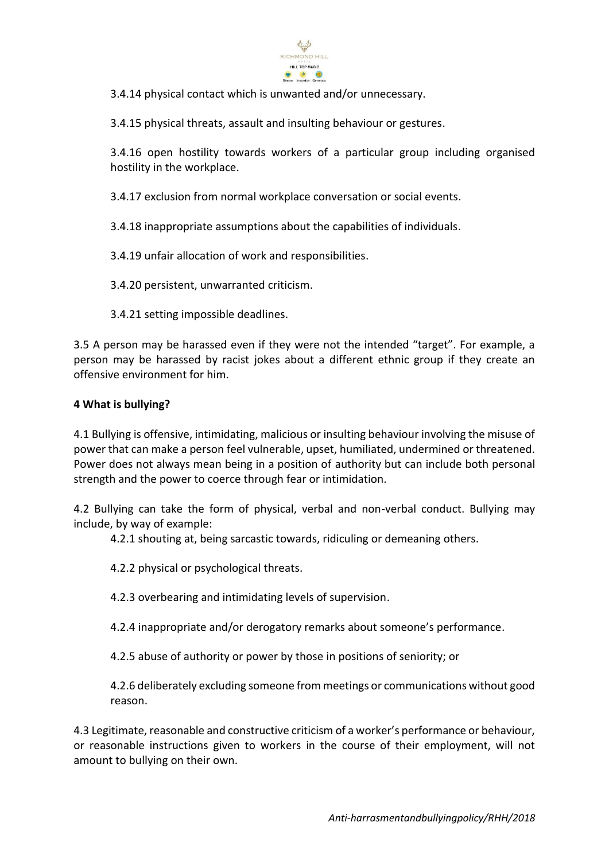

3.4.14 physical contact which is unwanted and/or unnecessary.

3.4.15 physical threats, assault and insulting behaviour or gestures.

3.4.16 open hostility towards workers of a particular group including organised hostility in the workplace.

3.4.17 exclusion from normal workplace conversation or social events.

3.4.18 inappropriate assumptions about the capabilities of individuals.

3.4.19 unfair allocation of work and responsibilities.

3.4.20 persistent, unwarranted criticism.

3.4.21 setting impossible deadlines.

3.5 A person may be harassed even if they were not the intended "target". For example, a person may be harassed by racist jokes about a different ethnic group if they create an offensive environment for him.

#### **4 What is bullying?**

4.1 Bullying is offensive, intimidating, malicious or insulting behaviour involving the misuse of power that can make a person feel vulnerable, upset, humiliated, undermined or threatened. Power does not always mean being in a position of authority but can include both personal strength and the power to coerce through fear or intimidation.

4.2 Bullying can take the form of physical, verbal and non-verbal conduct. Bullying may include, by way of example:

4.2.1 shouting at, being sarcastic towards, ridiculing or demeaning others.

4.2.2 physical or psychological threats.

4.2.3 overbearing and intimidating levels of supervision.

4.2.4 inappropriate and/or derogatory remarks about someone's performance.

4.2.5 abuse of authority or power by those in positions of seniority; or

4.2.6 deliberately excluding someone from meetings or communications without good reason.

4.3 Legitimate, reasonable and constructive criticism of a worker's performance or behaviour, or reasonable instructions given to workers in the course of their employment, will not amount to bullying on their own.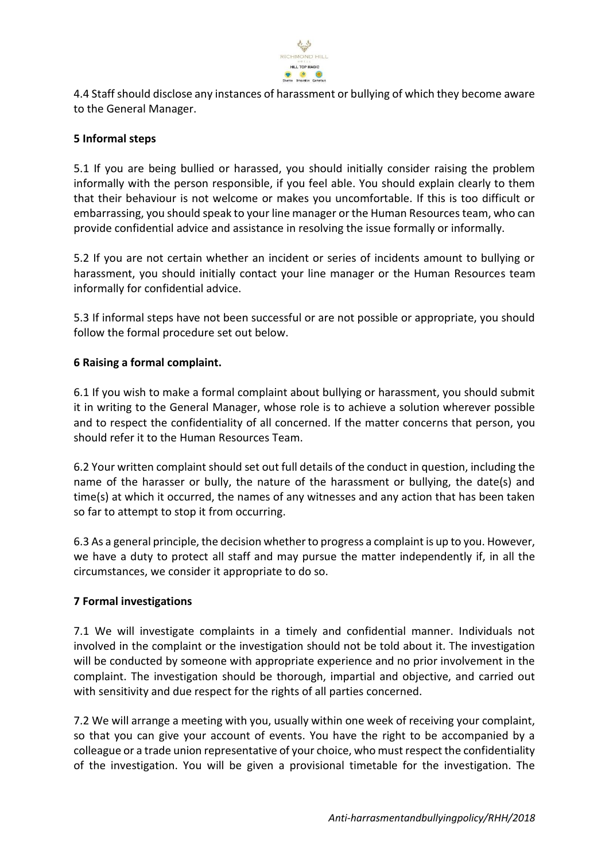

4.4 Staff should disclose any instances of harassment or bullying of which they become aware to the General Manager.

## **5 Informal steps**

5.1 If you are being bullied or harassed, you should initially consider raising the problem informally with the person responsible, if you feel able. You should explain clearly to them that their behaviour is not welcome or makes you uncomfortable. If this is too difficult or embarrassing, you should speak to your line manager or the Human Resources team, who can provide confidential advice and assistance in resolving the issue formally or informally.

5.2 If you are not certain whether an incident or series of incidents amount to bullying or harassment, you should initially contact your line manager or the Human Resources team informally for confidential advice.

5.3 If informal steps have not been successful or are not possible or appropriate, you should follow the formal procedure set out below.

## **6 Raising a formal complaint.**

6.1 If you wish to make a formal complaint about bullying or harassment, you should submit it in writing to the General Manager, whose role is to achieve a solution wherever possible and to respect the confidentiality of all concerned. If the matter concerns that person, you should refer it to the Human Resources Team.

6.2 Your written complaint should set out full details of the conduct in question, including the name of the harasser or bully, the nature of the harassment or bullying, the date(s) and time(s) at which it occurred, the names of any witnesses and any action that has been taken so far to attempt to stop it from occurring.

6.3 As a general principle, the decision whether to progress a complaint is up to you. However, we have a duty to protect all staff and may pursue the matter independently if, in all the circumstances, we consider it appropriate to do so.

#### **7 Formal investigations**

7.1 We will investigate complaints in a timely and confidential manner. Individuals not involved in the complaint or the investigation should not be told about it. The investigation will be conducted by someone with appropriate experience and no prior involvement in the complaint. The investigation should be thorough, impartial and objective, and carried out with sensitivity and due respect for the rights of all parties concerned.

7.2 We will arrange a meeting with you, usually within one week of receiving your complaint, so that you can give your account of events. You have the right to be accompanied by a colleague or a trade union representative of your choice, who must respect the confidentiality of the investigation. You will be given a provisional timetable for the investigation. The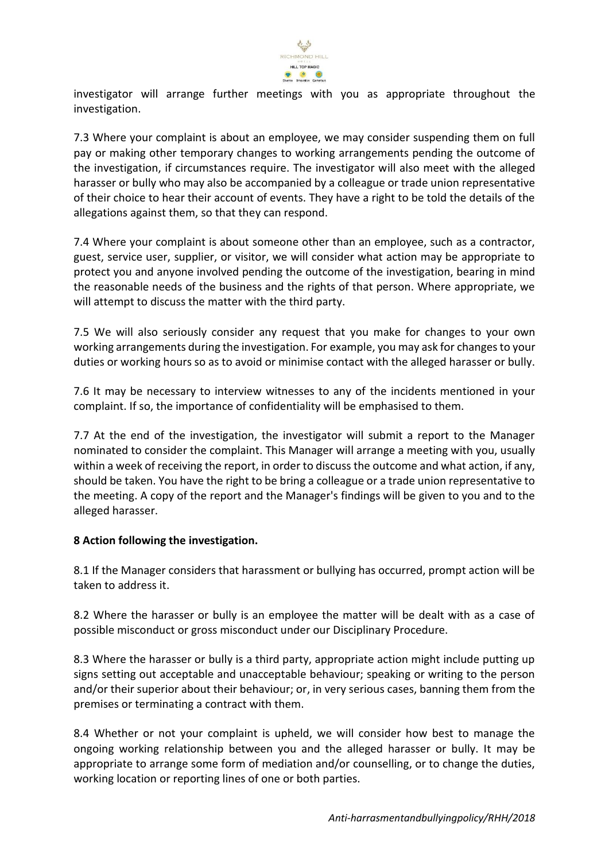

investigator will arrange further meetings with you as appropriate throughout the investigation.

7.3 Where your complaint is about an employee, we may consider suspending them on full pay or making other temporary changes to working arrangements pending the outcome of the investigation, if circumstances require. The investigator will also meet with the alleged harasser or bully who may also be accompanied by a colleague or trade union representative of their choice to hear their account of events. They have a right to be told the details of the allegations against them, so that they can respond.

7.4 Where your complaint is about someone other than an employee, such as a contractor, guest, service user, supplier, or visitor, we will consider what action may be appropriate to protect you and anyone involved pending the outcome of the investigation, bearing in mind the reasonable needs of the business and the rights of that person. Where appropriate, we will attempt to discuss the matter with the third party.

7.5 We will also seriously consider any request that you make for changes to your own working arrangements during the investigation. For example, you may ask for changes to your duties or working hours so as to avoid or minimise contact with the alleged harasser or bully.

7.6 It may be necessary to interview witnesses to any of the incidents mentioned in your complaint. If so, the importance of confidentiality will be emphasised to them.

7.7 At the end of the investigation, the investigator will submit a report to the Manager nominated to consider the complaint. This Manager will arrange a meeting with you, usually within a week of receiving the report, in order to discuss the outcome and what action, if any, should be taken. You have the right to be bring a colleague or a trade union representative to the meeting. A copy of the report and the Manager's findings will be given to you and to the alleged harasser.

# **8 Action following the investigation.**

8.1 If the Manager considers that harassment or bullying has occurred, prompt action will be taken to address it.

8.2 Where the harasser or bully is an employee the matter will be dealt with as a case of possible misconduct or gross misconduct under our Disciplinary Procedure.

8.3 Where the harasser or bully is a third party, appropriate action might include putting up signs setting out acceptable and unacceptable behaviour; speaking or writing to the person and/or their superior about their behaviour; or, in very serious cases, banning them from the premises or terminating a contract with them.

8.4 Whether or not your complaint is upheld, we will consider how best to manage the ongoing working relationship between you and the alleged harasser or bully. It may be appropriate to arrange some form of mediation and/or counselling, or to change the duties, working location or reporting lines of one or both parties.